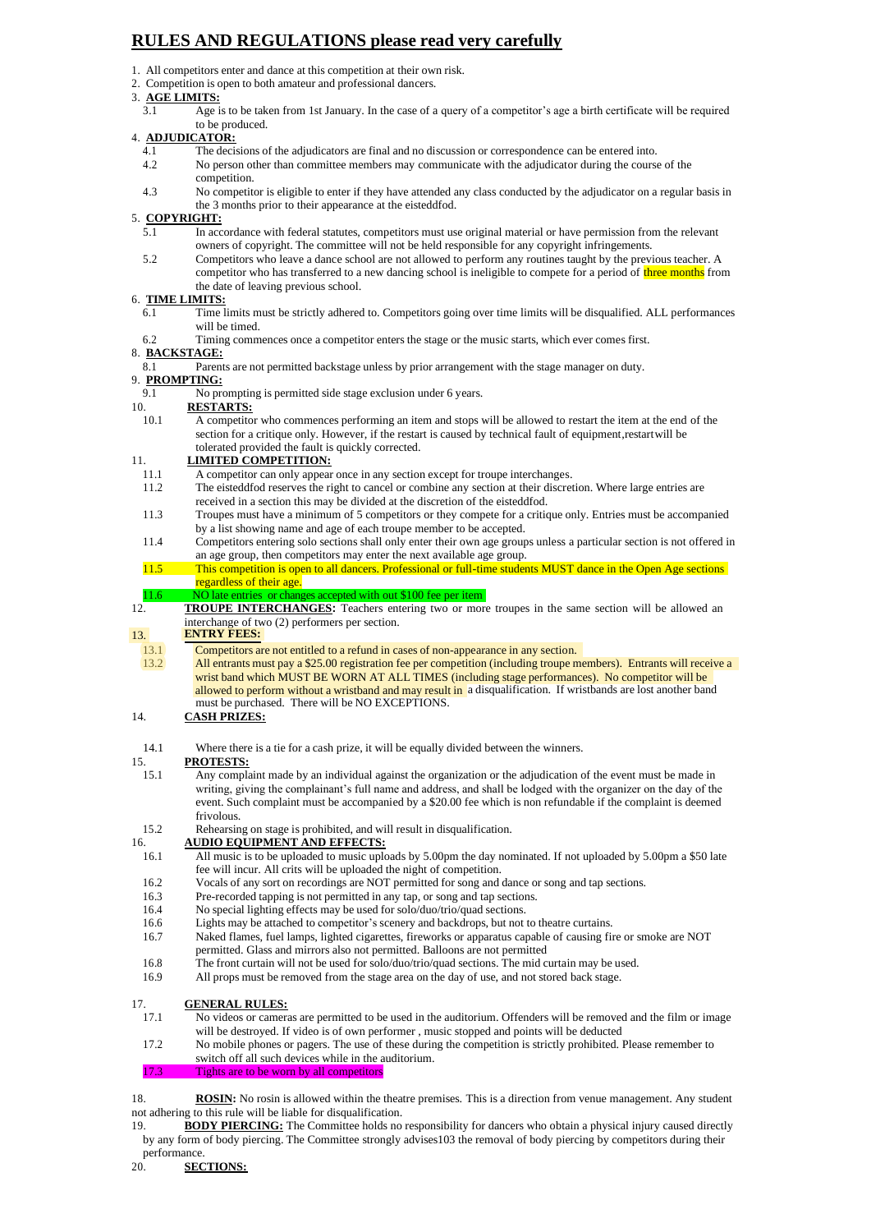# **RULES AND REGULATIONS please read very carefully**

- 1. All competitors enter and dance at this competition at their own risk.
- 2. Competition is open to both amateur and professional dancers.
- 3. **AGE LIMITS:**
	- 3.1 Age is to be taken from 1st January. In the case of a query of a competitor's age a birth certificate will be required to be produced.

# 4. **ADJUDICATOR:**<br>4.1 The decis

- The decisions of the adjudicators are final and no discussion or correspondence can be entered into.
- 4.2 No person other than committee members may communicate with the adjudicator during the course of the competition.
- 4.3 No competitor is eligible to enter if they have attended any class conducted by the adjudicator on a regular basis in the 3 months prior to their appearance at the eisteddfod.

# 5. **COPYRIGHT:**

- 5.1 In accordance with federal statutes, competitors must use original material or have permission from the relevant owners of copyright. The committee will not be held responsible for any copyright infringements.
- 5.2 Competitors who leave a dance school are not allowed to perform any routines taught by the previous teacher. A competitor who has transferred to a new dancing school is ineligible to compete for a period of three months from the date of leaving previous school.

#### 6. **TIME LIMITS:**

- 6.1 Time limits must be strictly adhered to. Competitors going over time limits will be disqualified. ALL performances will be timed.
- 6.2 Timing commences once a competitor enters the stage or the music starts, which ever comes first.

#### 8. **BACKSTAGE:**

- 8.1 Parents are not permitted backstage unless by prior arrangement with the stage manager on duty.
- 9. **PROMPTING:**
- 9.1 No prompting is permitted side stage exclusion under 6 years.<br>10. **RESTARTS:**

# 10. **RESTARTS:**

10.1 A competitor who commences performing an item and stops will be allowed to restart the item at the end of the section for a critique only. However, if the restart is caused by technical fault of equipment, restart will be tolerated provided the fault is quickly corrected.

#### 11. **LIMITED COMPETITION:**

- 11.1 A competitor can only appear once in any section except for troupe interchanges.<br>11.2 The eisteddfod reserves the right to cancel or combine any section at their discret
- The eisteddfod reserves the right to cancel or combine any section at their discretion. Where large entries are received in a section this may be divided at the discretion of the eisteddfod.
- 11.3 Troupes must have a minimum of 5 competitors or they compete for a critique only. Entries must be accompanied by a list showing name and age of each troupe member to be accepted.
- 11.4 Competitors entering solo sections shall only enter their own age groups unless a particular section is not offered in an age group, then competitors may enter the next available age group.
- 11.5 This competition is open to all dancers. Professional or full-time students MUST dance in the Open Age sections regardless of their age.

# 11.6 NO late entries or changes accepted with out \$100 fee per item<br>12. **TROUPE INTERCHANGES:** Teachers entering two or mor

12. **TROUPE INTERCHANGES:** Teachers entering two or more troupes in the same section will be allowed an interchange of two (2) performers per section.

# 13. **ENTRY FEES:**

- Competitors are not entitled to a refund in cases of non-appearance in any section. 13.1
- allowed to perform without a wristband and may result in a disqualification. If wristbands are lost another band wrist band which MUST BE WORN AT ALL TIMES (including stage performances). No competitor will be All entrants must pay a \$25.00 registration fee per competition (including troupe members). Entrants will receive a must be purchased. There will be NO EXCEPTIONS. 13.2
- 14. **CASH PRIZES:**
- 14.1 Where there is a tie for a cash prize, it will be equally divided between the winners.

- 15. **PROTESTS:**<br>15.1 Any compl Any complaint made by an individual against the organization or the adjudication of the event must be made in writing, giving the complainant's full name and address, and shall be lodged with the organizer on the day of the event. Such complaint must be accompanied by a \$20.00 fee which is non refundable if the complaint is deemed frivolous.
- 15.2 Rehearsing on stage is prohibited, and will result in disqualification.

# 16. **AUDIO EQUIPMENT AND EFFECTS:**

- 16.1 All music is to be uploaded to music uploads by 5.00pm the day nominated. If not uploaded by 5.00pm a \$50 late fee will incur. All crits will be uploaded the night of competition.
- 16.2 Vocals of any sort on recordings are NOT permitted for song and dance or song and tap sections.
- 16.3 Pre-recorded tapping is not permitted in any tap, or song and tap sections.
- 16.4 No special lighting effects may be used for solo/duo/trio/quad sections.
- 16.6 Lights may be attached to competitor's scenery and backdrops, but not to theatre curtains.
- 16.7 Naked flames, fuel lamps, lighted cigarettes, fireworks or apparatus capable of causing fire or smoke are NOT permitted. Glass and mirrors also not permitted. Balloons are not permitted
- 16.8 The front curtain will not be used for solo/duo/trio/quad sections. The mid curtain may be used.
- 16.9 All props must be removed from the stage area on the day of use, and not stored back stage.

#### 17. **GENERAL RULES:**

17.1 No videos or cameras are permitted to be used in the auditorium. Offenders will be removed and the film or image will be destroyed. If video is of own performer , music stopped and points will be deducted

#### 17.2 No mobile phones or pagers. The use of these during the competition is strictly prohibited. Please remember to switch off all such devices while in the auditorium.

17.3 Tights are to be worn by all competitors

18. **ROSIN:** No rosin is allowed within the theatre premises. This is a direction from venue management. Any student not adhering to this rule will be liable for disqualification.

19. **BODY PIERCING:** The Committee holds no responsibility for dancers who obtain a physical injury caused directly by any form of body piercing. The Committee strongly advises103 the removal of body piercing by competitors during their performance.

20. **SECTIONS:**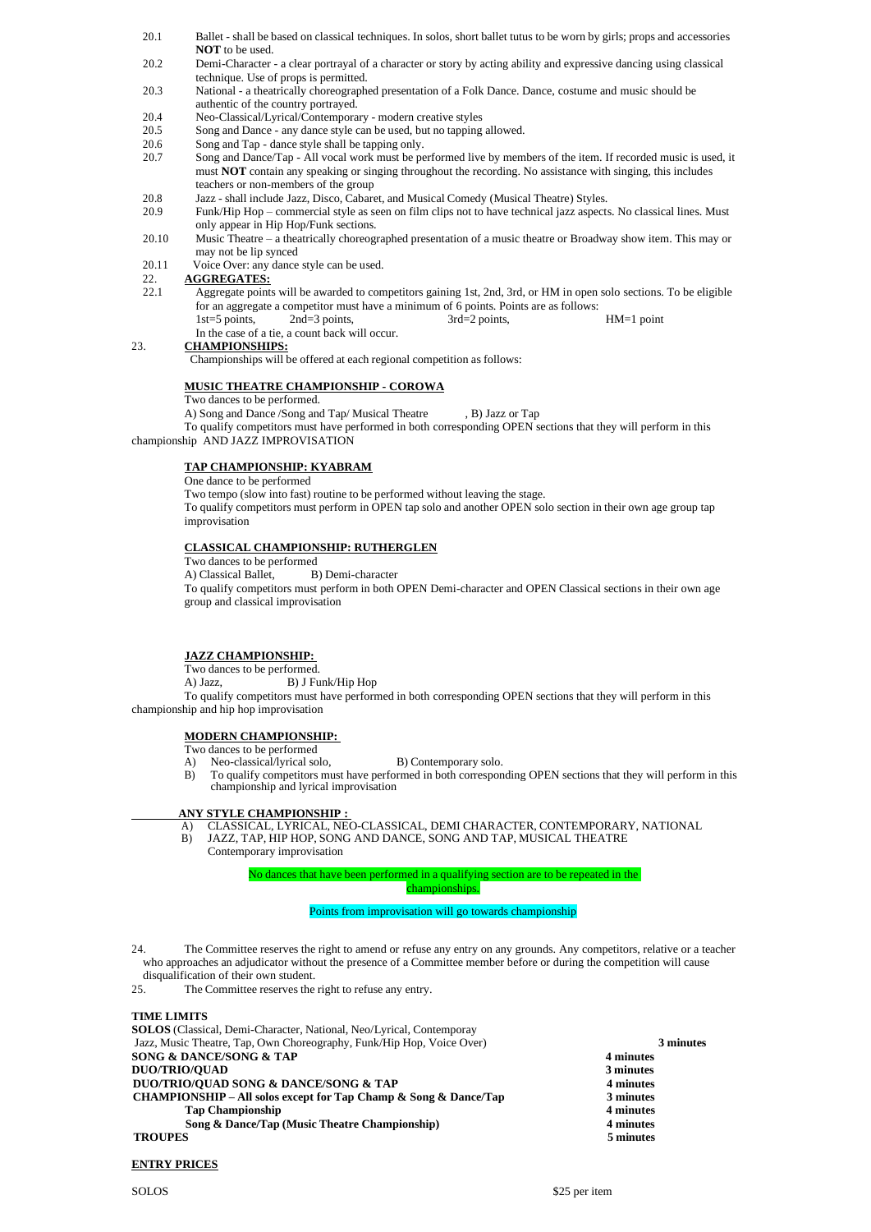- 20.1 Ballet shall be based on classical techniques. In solos, short ballet tutus to be worn by girls; props and accessories **NOT** to be used.
- 20.2 Demi-Character a clear portrayal of a character or story by acting ability and expressive dancing using classical technique. Use of props is permitted.
- 20.3 National a theatrically choreographed presentation of a Folk Dance. Dance, costume and music should be authentic of the country portrayed.
- 20.4 Neo-Classical/Lyrical/Contemporary modern creative styles
- 20.5 Song and Dance any dance style can be used, but no tapping allowed.
- 20.6 Song and Tap dance style shall be tapping only.<br>20.7 Song and Dance/Tap All yocal work must be no
- 20.7 Song and Dance/Tap All vocal work must be performed live by members of the item. If recorded music is used, it must **NOT** contain any speaking or singing throughout the recording. No assistance with singing, this includes teachers or non-members of the group
- 20.8 Jazz shall include Jazz, Disco, Cabaret, and Musical Comedy (Musical Theatre) Styles.
- 20.9 Funk/Hip Hop commercial style as seen on film clips not to have technical jazz aspects. No classical lines. Must only appear in Hip Hop/Funk sections.
- 20.10 Music Theatre a theatrically choreographed presentation of a music theatre or Broadway show item. This may or may not be lip synced
- 20.11 Voice Over: any dance style can be used.

# 22. **AGGREGATES:**

22.1 Aggregate points will be awarded to competitors gaining 1st, 2nd, 3rd, or HM in open solo sections. To be eligible for an aggregate a competitor must have a minimum of 6 points. Points are as follows:

1st=5 points, 2nd=3 points, 3rd=2 points, HM=1 point In the case of a tie, a count back will occur.

# 23. **CHAMPIONSHIPS:**

Championships will be offered at each regional competition as follows:

## **MUSIC THEATRE CHAMPIONSHIP - COROWA**

Two dances to be performed.

A) Song and Dance /Song and Tap/ Musical Theatre , B) Jazz or Tap

To qualify competitors must have performed in both corresponding OPEN sections that they will perform in this championship AND JAZZ IMPROVISATION

#### **TAP CHAMPIONSHIP: KYABRAM**

One dance to be performed

Two tempo (slow into fast) routine to be performed without leaving the stage. To qualify competitors must perform in OPEN tap solo and another OPEN solo section in their own age group tap

improvisation

#### **CLASSICAL CHAMPIONSHIP: RUTHERGLEN**

Two dances to be performed

A) Classical Ballet, B) Demi-character

To qualify competitors must perform in both OPEN Demi-character and OPEN Classical sections in their own age group and classical improvisation

### **JAZZ CHAMPIONSHIP:**

Two dances to be performed.

A) Jazz, B) J Funk/Hip Hop

To qualify competitors must have performed in both corresponding OPEN sections that they will perform in this championship and hip hop improvisation

## **MODERN CHAMPIONSHIP:**

- Two dances to be performed<br>A) Neo-classical/lyrical sol
- Neo-classical/lyrical solo, B) Contemporary solo.
- B) To qualify competitors must have performed in both corresponding OPEN sections that they will perform in this championship and lyrical improvisation

#### **ANY STYLE CHAMPIONSHIP :**

- A) CLASSICAL, LYRICAL, NEO-CLASSICAL, DEMI CHARACTER, CONTEMPORARY, NATIONAL
- B) JAZZ, TAP, HIP HOP, SONG AND DANCE, SONG AND TAP, MUSICAL THEATRE Contemporary improvisation

No dances that have been performed in a qualifying section are to be repeated in the

championships.

#### Points from improvisation will go towards championship

24. The Committee reserves the right to amend or refuse any entry on any grounds. Any competitors, relative or a teacher who approaches an adjudicator without the presence of a Committee member before or during the competition will cause disqualification of their own student.

25. The Committee reserves the right to refuse any entry.

# **TIME LIMITS SOLOS** (Classical, Demi-Character, National, Neo/Lyrical, Contemporay Jazz, Music Theatre, Tap, Own Choreography, Funk/Hip Hop, Voice Over) **3 minutes SONG & DANCE/SONG & TAP 4 minutes DUO/TRIO/QUAD 3** minutes<br>**DUO/TRIO/OUAD SONG & DANCE/SONG & TAP** 4 minutes **DUO/TRIO/QUAD SONG & DANCE/SONG & TAP CHAMPIONSHIP – All solos except for Tap Champ & Song & Dance/Tap 3 minutes Tap Championship 4 minutes Song & Dance/Tap (Music Theatre Championship) 4 minutes 4 minutes 5 minutes TROUPES 5 minutes**

### **ENTRY PRICES**